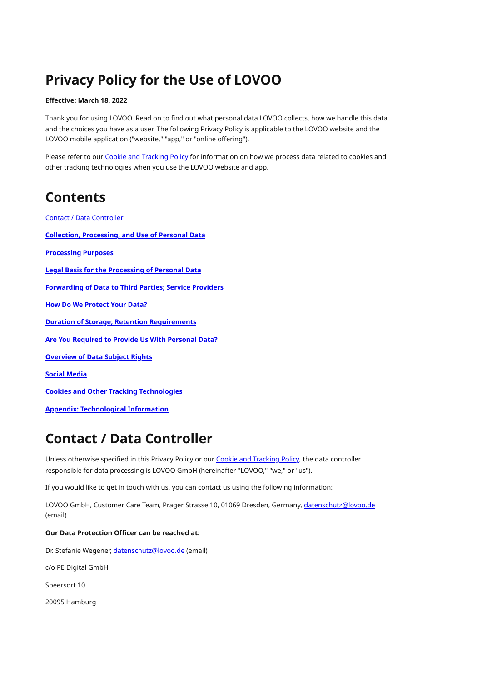# **Privacy Policy for the Use of LOVOO**

### **Effective: March 18, 2022**

Thank you for using LOVOO. Read on to find out what personal data LOVOO collects, how we handle this data, and the choices you have as a user. The following Privacy Policy is applicable to the LOVOO website and the LOVOO mobile application ("website," "app," or "online offering").

Please refer to our Cookie and [Tracking](https://www.lovoo.com/legal/cookies) Policy for information on how we process data related to cookies and other tracking technologies when you use the LOVOO website and app.

# **Contents**

Contact / Data [Controller](#page-0-0) **Collection, [Processing,](#page-1-0) and Use of Personal Data [Processing](#page-6-0) Purposes Legal Basis for the [Processing](#page-7-0) of Personal Data [Forwarding](#page-8-0) of Data to Third Parties; Service Providers How Do We [Protect](#page-9-0) Your Data? Duration of Storage; Retention [Requirements](#page-10-0) Are You [Required](#page-11-0) to Provide Us With Personal Data? [Overview](#page-11-1) of Data Subject Rights Social [Media](#page-13-0) Cookies and Other Tracking [Technologies](#page-14-0) Appendix: [Technological](#page-14-1) Information**

# <span id="page-0-0"></span>**Contact / Data Controller**

Unless otherwise specified in this Privacy Policy or our Cookie and [Tracking](https://www.lovoo.com/legal/cookies) Policy, the data controller responsible for data processing is LOVOO GmbH (hereinafter "LOVOO," "we," or "us").

If you would like to get in touch with us, you can contact us using the following information:

LOVOO GmbH, Customer Care Team, Prager Strasse 10, 01069 Dresden, Germany, [datenschutz@lovoo.de](mailto:datenschutz@lovoo.com) (email)

#### **Our Data Protection Officer can be reached at:**

Dr. Stefanie Wegener, [datenschutz@lovoo.de](mailto:datenschutz@lovoo.com) (email)

c/o PE Digital GmbH

Speersort 10

20095 Hamburg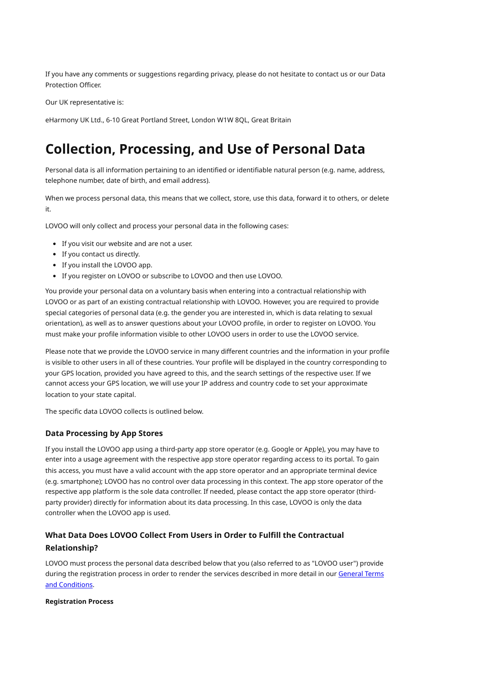If you have any comments or suggestions regarding privacy, please do not hesitate to contact us or our Data Protection Officer.

Our UK representative is:

eHarmony UK Ltd., 6-10 Great Portland Street, London W1W 8QL, Great Britain

# <span id="page-1-0"></span>**Collection, Processing, and Use of Personal Data**

Personal data is all information pertaining to an identified or identifiable natural person (e.g. name, address, telephone number, date of birth, and email address).

When we process personal data, this means that we collect, store, use this data, forward it to others, or delete it.

LOVOO will only collect and process your personal data in the following cases:

- If you visit our website and are not a user.
- If you contact us directly.
- If you install the LOVOO app.
- If you register on LOVOO or subscribe to LOVOO and then use LOVOO.

You provide your personal data on a voluntary basis when entering into a contractual relationship with LOVOO or as part of an existing contractual relationship with LOVOO. However, you are required to provide special categories of personal data (e.g. the gender you are interested in, which is data relating to sexual orientation), as well as to answer questions about your LOVOO profile, in order to register on LOVOO. You must make your profile information visible to other LOVOO users in order to use the LOVOO service.

Please note that we provide the LOVOO service in many different countries and the information in your profile is visible to other users in all of these countries. Your profile will be displayed in the country corresponding to your GPS location, provided you have agreed to this, and the search settings of the respective user. If we cannot access your GPS location, we will use your IP address and country code to set your approximate location to your state capital.

The specific data LOVOO collects is outlined below.

#### **Data Processing by App Stores**

If you install the LOVOO app using a third-party app store operator (e.g. Google or Apple), you may have to enter into a usage agreement with the respective app store operator regarding access to its portal. To gain this access, you must have a valid account with the app store operator and an appropriate terminal device (e.g. smartphone); LOVOO has no control over data processing in this context. The app store operator of the respective app platform is the sole data controller. If needed, please contact the app store operator (thirdparty provider) directly for information about its data processing. In this case, LOVOO is only the data controller when the LOVOO app is used.

## **What Data Does LOVOO Collect From Users in Order to Fulfill the Contractual Relationship?**

LOVOO must process the personal data described below that you (also referred to as "LOVOO user") provide during the [registration](https://www.lovoo.com/legal/toc) process in order to render the services described in more detail in our General Terms and Conditions.

#### **Registration Process**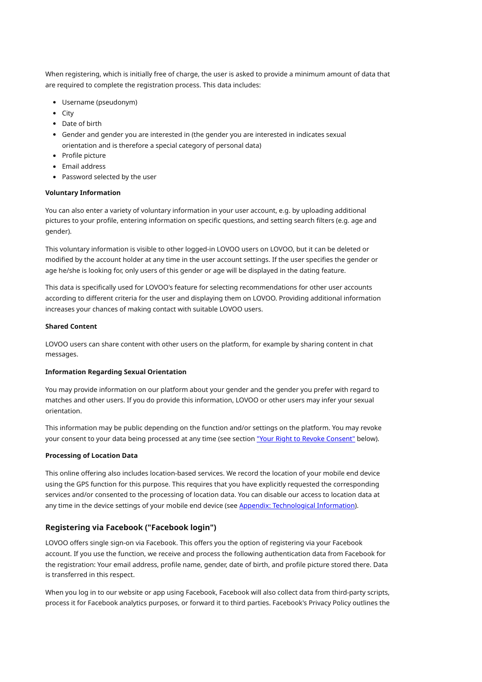When registering, which is initially free of charge, the user is asked to provide a minimum amount of data that are required to complete the registration process. This data includes:

- Username (pseudonym)
- $\bullet$  City
- Date of birth
- Gender and gender you are interested in (the gender you are interested in indicates sexual orientation and is therefore a special category of personal data)
- Profile picture
- Fmail address
- Password selected by the user

#### **Voluntary Information**

You can also enter a variety of voluntary information in your user account, e.g. by uploading additional pictures to your profile, entering information on specific questions, and setting search filters (e.g. age and gender).

This voluntary information is visible to other logged-in LOVOO users on LOVOO, but it can be deleted or modified by the account holder at any time in the user account settings. If the user specifies the gender or age he/she is looking for, only users of this gender or age will be displayed in the dating feature.

This data is specifically used for LOVOO's feature for selecting recommendations for other user accounts according to different criteria for the user and displaying them on LOVOO. Providing additional information increases your chances of making contact with suitable LOVOO users.

#### **Shared Content**

LOVOO users can share content with other users on the platform, for example by sharing content in chat messages.

#### **Information Regarding Sexual Orientation**

You may provide information on our platform about your gender and the gender you prefer with regard to matches and other users. If you do provide this information, LOVOO or other users may infer your sexual orientation.

This information may be public depending on the function and/or settings on the platform. You may revoke your consent to your data being processed at any time (see section "Your Right to Revoke Consent" below).

#### **Processing of Location Data**

This online offering also includes location-based services. We record the location of your mobile end device using the GPS function for this purpose. This requires that you have explicitly requested the corresponding services and/or consented to the processing of location data. You can disable our access to location data at any time in the device settings of your mobile end device (see Appendix: Technological Information).

## **Registering via Facebook ("Facebook login")**

LOVOO offers single sign-on via Facebook. This offers you the option of registering via your Facebook account. If you use the function, we receive and process the following authentication data from Facebook for the registration: Your email address, profile name, gender, date of birth, and profile picture stored there. Data is transferred in this respect.

When you log in to our website or app using Facebook, Facebook will also collect data from third-party scripts, process it for Facebook analytics purposes, or forward it to third parties. Facebook's Privacy Policy outlines the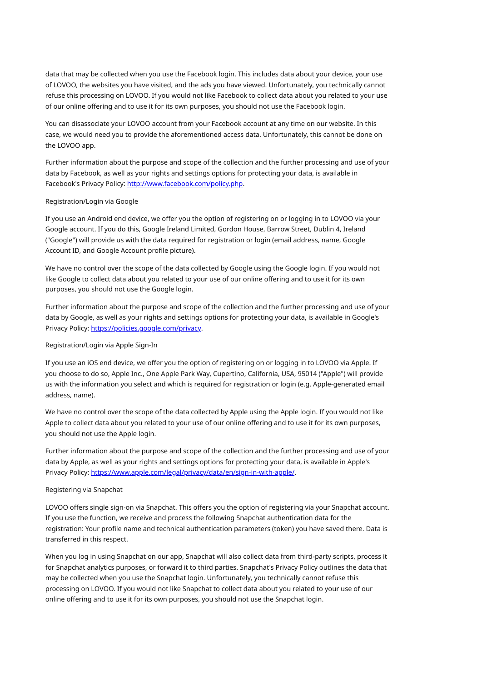data that may be collected when you use the Facebook login. This includes data about your device, your use of LOVOO, the websites you have visited, and the ads you have viewed. Unfortunately, you technically cannot refuse this processing on LOVOO. If you would not like Facebook to collect data about you related to your use of our online offering and to use it for its own purposes, you should not use the Facebook login.

You can disassociate your LOVOO account from your Facebook account at any time on our website. In this case, we would need you to provide the aforementioned access data. Unfortunately, this cannot be done on the LOVOO app.

Further information about the purpose and scope of the collection and the further processing and use of your data by Facebook, as well as your rights and settings options for protecting your data, is available in Facebook's Privacy Policy: <http://www.facebook.com/policy.php>.

#### Registration/Login via Google

If you use an Android end device, we offer you the option of registering on or logging in to LOVOO via your Google account. If you do this, Google Ireland Limited, Gordon House, Barrow Street, Dublin 4, Ireland ("Google") will provide us with the data required for registration or login (email address, name, Google Account ID, and Google Account profile picture).

We have no control over the scope of the data collected by Google using the Google login. If you would not like Google to collect data about you related to your use of our online offering and to use it for its own purposes, you should not use the Google login.

Further information about the purpose and scope of the collection and the further processing and use of your data by Google, as well as your rights and settings options for protecting your data, is available in Google's Privacy Policy: [https://policies.google.com/privacy.](https://policies.google.com/privacy)

#### Registration/Login via Apple Sign-In

If you use an iOS end device, we offer you the option of registering on or logging in to LOVOO via Apple. If you choose to do so, Apple Inc., One Apple Park Way, Cupertino, California, USA, 95014 ("Apple") will provide us with the information you select and which is required for registration or login (e.g. Apple-generated email address, name).

We have no control over the scope of the data collected by Apple using the Apple login. If you would not like Apple to collect data about you related to your use of our online offering and to use it for its own purposes, you should not use the Apple login.

Further information about the purpose and scope of the collection and the further processing and use of your data by Apple, as well as your rights and settings options for protecting your data, is available in Apple's Privacy Policy: [https://www.apple.com/legal/privacy/data/en/sign-in-with-apple/.](https://www.apple.com/legal/privacy/data/en/sign-in-with-apple/)

#### Registering via Snapchat

LOVOO offers single sign-on via Snapchat. This offers you the option of registering via your Snapchat account. If you use the function, we receive and process the following Snapchat authentication data for the registration: Your profile name and technical authentication parameters (token) you have saved there. Data is transferred in this respect.

When you log in using Snapchat on our app, Snapchat will also collect data from third-party scripts, process it for Snapchat analytics purposes, or forward it to third parties. Snapchat's Privacy Policy outlines the data that may be collected when you use the Snapchat login. Unfortunately, you technically cannot refuse this processing on LOVOO. If you would not like Snapchat to collect data about you related to your use of our online offering and to use it for its own purposes, you should not use the Snapchat login.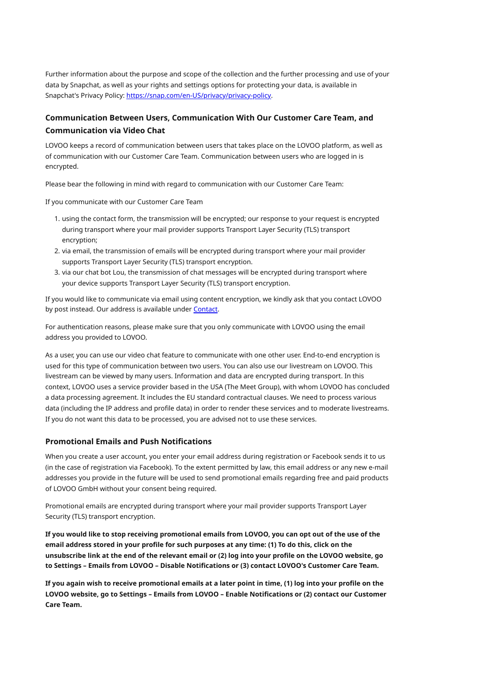Further information about the purpose and scope of the collection and the further processing and use of your data by Snapchat, as well as your rights and settings options for protecting your data, is available in Snapchat's Privacy Policy: [https://snap.com/en-US/privacy/privacy-policy.](https://snap.com/en-US/privacy/privacy-policy)

# **Communication Between Users, Communication With Our Customer Care Team, and Communication via Video Chat**

LOVOO keeps a record of communication between users that takes place on the LOVOO platform, as well as of communication with our Customer Care Team. Communication between users who are logged in is encrypted.

Please bear the following in mind with regard to communication with our Customer Care Team:

If you communicate with our Customer Care Team

- 1. using the contact form, the transmission will be encrypted; our response to your request is encrypted during transport where your mail provider supports Transport Layer Security (TLS) transport encryption;
- 2. via email, the transmission of emails will be encrypted during transport where your mail provider supports Transport Layer Security (TLS) transport encryption.
- 3. via our chat bot Lou, the transmission of chat messages will be encrypted during transport where your device supports Transport Layer Security (TLS) transport encryption.

If you would like to communicate via email using content encryption, we kindly ask that you contact LOVOO by post instead. Our address is available under [Contact.](#page-0-0)

For authentication reasons, please make sure that you only communicate with LOVOO using the email address you provided to LOVOO.

As a user, you can use our video chat feature to communicate with one other user. End-to-end encryption is used for this type of communication between two users. You can also use our livestream on LOVOO. This livestream can be viewed by many users. Information and data are encrypted during transport. In this context, LOVOO uses a service provider based in the USA (The Meet Group), with whom LOVOO has concluded a data processing agreement. It includes the EU standard contractual clauses. We need to process various data (including the IP address and profile data) in order to render these services and to moderate livestreams. If you do not want this data to be processed, you are advised not to use these services.

### **Promotional Emails and Push Notifications**

When you create a user account, you enter your email address during registration or Facebook sends it to us (in the case of registration via Facebook). To the extent permitted by law, this email address or any new e-mail addresses you provide in the future will be used to send promotional emails regarding free and paid products of LOVOO GmbH without your consent being required.

Promotional emails are encrypted during transport where your mail provider supports Transport Layer Security (TLS) transport encryption.

If you would like to stop receiving promotional emails from LOVOO, you can opt out of the use of the email address stored in your profile for such purposes at any time: (1) To do this, click on the unsubscribe link at the end of the relevant email or (2) log into your profile on the LOVOO website, go **to Settings – Emails from LOVOO – Disable Notifications or (3) contact LOVOO's Customer Care Team.**

If you again wish to receive promotional emails at a later point in time, (1) log into your profile on the **LOVOO website, go to Settings – Emails from LOVOO – Enable Notifications or (2) contact our Customer Care Team.**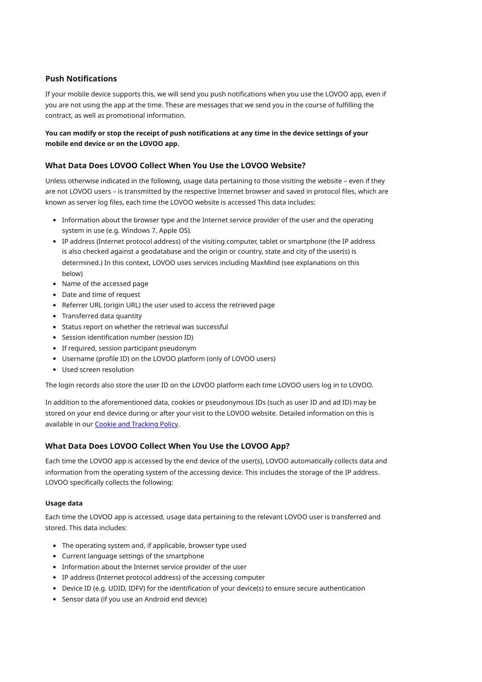### **Push Notifications**

If your mobile device supports this, we will send you push notifications when you use the LOVOO app, even if you are not using the app at the time. These are messages that we send you in the course of fulfilling the contract, as well as promotional information.

### You can modify or stop the receipt of push notifications at any time in the device settings of your **mobile end device or on the LOVOO app.**

## **What Data Does LOVOO Collect When You Use the LOVOO Website?**

Unless otherwise indicated in the following, usage data pertaining to those visiting the website – even if they are not LOVOO users – is transmitted by the respective Internet browser and saved in protocol files, which are known as server log files, each time the LOVOO website is accessed This data includes:

- Information about the browser type and the Internet service provider of the user and the operating system in use (e.g. Windows 7, Apple OS).
- IP address (Internet protocol address) of the visiting computer, tablet or smartphone (the IP address is also checked against a geodatabase and the origin or country, state and city of the user(s) is determined.) In this context, LOVOO uses services including MaxMind (see explanations on this below)
- Name of the accessed page
- Date and time of request
- Referrer URL (origin URL) the user used to access the retrieved page
- Transferred data quantity
- Status report on whether the retrieval was successful
- Session identification number (session ID)
- If required, session participant pseudonym
- Username (profile ID) on the LOVOO platform (only of LOVOO users)
- Used screen resolution

The login records also store the user ID on the LOVOO platform each time LOVOO users log in to LOVOO.

In addition to the aforementioned data, cookies or pseudonymous IDs (such as user ID and ad ID) may be stored on your end device during or after your visit to the LOVOO website. Detailed information on this is available in our Cookie and [Tracking](https://www.lovoo.com/legal/cookies) Policy.

## **What Data Does LOVOO Collect When You Use the LOVOO App?**

Each time the LOVOO app is accessed by the end device of the user(s), LOVOO automatically collects data and information from the operating system of the accessing device. This includes the storage of the IP address. LOVOO specifically collects the following:

#### **Usage data**

Each time the LOVOO app is accessed, usage data pertaining to the relevant LOVOO user is transferred and stored. This data includes:

- The operating system and, if applicable, browser type used
- Current language settings of the smartphone
- Information about the Internet service provider of the user
- IP address (Internet protocol address) of the accessing computer
- Device ID (e.g. UDID, IDFV) for the identification of your device(s) to ensure secure authentication
- Sensor data (if you use an Android end device)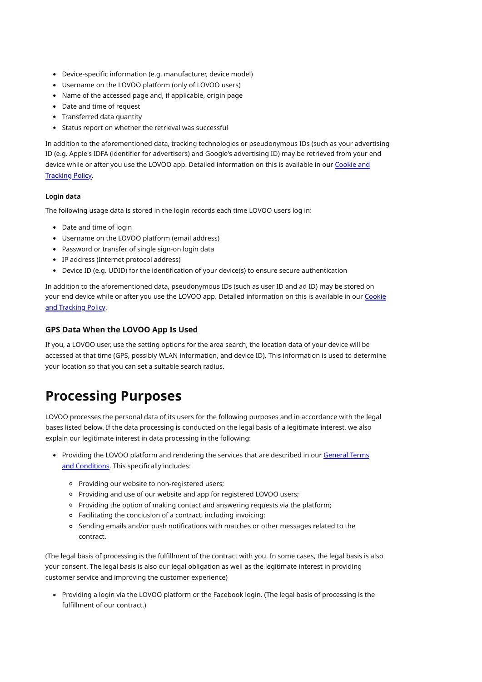- Device-specific information (e.g. manufacturer, device model)
- Username on the LOVOO platform (only of LOVOO users)
- Name of the accessed page and, if applicable, origin page
- Date and time of request
- Transferred data quantity
- Status report on whether the retrieval was successful

In addition to the aforementioned data, tracking technologies or pseudonymous IDs (such as your advertising ID (e.g. Apple's IDFA (identifier for advertisers) and Google's advertising ID) may be retrieved from your end device while or after you use the LOVOO app. Detailed [information](https://www.lovoo.com/legal/cookies) on this is available in our Cookie and Tracking Policy.

#### **Login data**

The following usage data is stored in the login records each time LOVOO users log in:

- Date and time of login
- Username on the LOVOO platform (email address)
- Password or transfer of single sign-on login data
- IP address (Internet protocol address)
- Device ID (e.g. UDID) for the identification of your device(s) to ensure secure authentication

In addition to the aforementioned data, pseudonymous IDs (such as user ID and ad ID) may be stored on your end device while or after you use the LOVOO app. Detailed [information](https://www.lovoo.com/legal/cookies) on this is available in our Cookie and Tracking Policy.

## **GPS Data When the LOVOO App Is Used**

If you, a LOVOO user, use the setting options for the area search, the location data of your device will be accessed at that time (GPS, possibly WLAN information, and device ID). This information is used to determine your location so that you can set a suitable search radius.

# <span id="page-6-0"></span>**Processing Purposes**

LOVOO processes the personal data of its users for the following purposes and in accordance with the legal bases listed below. If the data processing is conducted on the legal basis of a legitimate interest, we also explain our legitimate interest in data processing in the following:

- Providing the LOVOO platform and rendering the services that are described in our General Terms and [Conditions.](https://www.lovoo.com/legal/toc) This specifically includes:
	- Providing our website to non-registered users;
	- Providing and use of our website and app for registered LOVOO users;
	- Providing the option of making contact and answering requests via the platform;
	- Facilitating the conclusion of a contract, including invoicing;
	- Sending emails and/or push notifications with matches or other messages related to the contract.

(The legal basis of processing is the fulfillment of the contract with you. In some cases, the legal basis is also your consent. The legal basis is also our legal obligation as well as the legitimate interest in providing customer service and improving the customer experience)

Providing a login via the LOVOO platform or the Facebook login. (The legal basis of processing is the fulfillment of our contract.)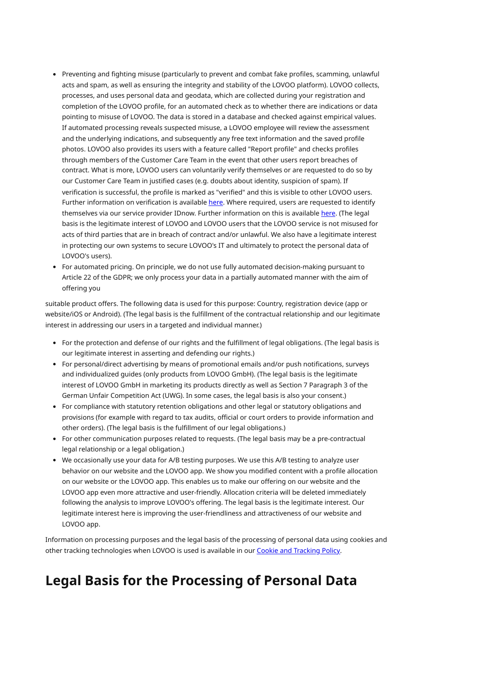- Preventing and fighting misuse (particularly to prevent and combat fake profiles, scamming, unlawful acts and spam, as well as ensuring the integrity and stability of the LOVOO platform). LOVOO collects, processes, and uses personal data and geodata, which are collected during your registration and completion of the LOVOO profile, for an automated check as to whether there are indications or data pointing to misuse of LOVOO. The data is stored in a database and checked against empirical values. If automated processing reveals suspected misuse, a LOVOO employee will review the assessment and the underlying indications, and subsequently any free text information and the saved profile photos. LOVOO also provides its users with a feature called "Report profile" and checks profiles through members of the Customer Care Team in the event that other users report breaches of contract. What is more, LOVOO users can voluntarily verify themselves or are requested to do so by our Customer Care Team in justified cases (e.g. doubts about identity, suspicion of spam). If verification is successful, the profile is marked as "verified" and this is visible to other LOVOO users. Further information on verification is available [here.](https://support.lovoo.com/hc/en-us/articles/209530749-Step-5-Get-verified-) Where required, users are requested to identify themselves via our service provider IDnow. Further information on this is available [here](https://support.lovoo.com/hc/en-us/sections/360003700779-FAQ-Taxes?article=360016083559). (The legal basis is the legitimate interest of LOVOO and LOVOO users that the LOVOO service is not misused for acts of third parties that are in breach of contract and/or unlawful. We also have a legitimate interest in protecting our own systems to secure LOVOO's IT and ultimately to protect the personal data of LOVOO's users).
- For automated pricing. On principle, we do not use fully automated decision-making pursuant to Article 22 of the GDPR; we only process your data in a partially automated manner with the aim of offering you

suitable product offers. The following data is used for this purpose: Country, registration device (app or website/iOS or Android). (The legal basis is the fulfillment of the contractual relationship and our legitimate interest in addressing our users in a targeted and individual manner.)

- For the protection and defense of our rights and the fulfillment of legal obligations. (The legal basis is our legitimate interest in asserting and defending our rights.)
- For personal/direct advertising by means of promotional emails and/or push notifications, surveys and individualized guides (only products from LOVOO GmbH). (The legal basis is the legitimate interest of LOVOO GmbH in marketing its products directly as well as Section 7 Paragraph 3 of the German Unfair Competition Act (UWG). In some cases, the legal basis is also your consent.)
- For compliance with statutory retention obligations and other legal or statutory obligations and provisions (for example with regard to tax audits, official or court orders to provide information and other orders). (The legal basis is the fulfillment of our legal obligations.)
- For other communication purposes related to requests. (The legal basis may be a pre-contractual legal relationship or a legal obligation.)
- We occasionally use your data for A/B testing purposes. We use this A/B testing to analyze user behavior on our website and the LOVOO app. We show you modified content with a profile allocation on our website or the LOVOO app. This enables us to make our offering on our website and the LOVOO app even more attractive and user-friendly. Allocation criteria will be deleted immediately following the analysis to improve LOVOO's offering. The legal basis is the legitimate interest. Our legitimate interest here is improving the user-friendliness and attractiveness of our website and LOVOO app.

Information on processing purposes and the legal basis of the processing of personal data using cookies and other tracking technologies when LOVOO is used is available in our Cookie and [Tracking](https://www.lovoo.com/legal/cookies) Policy.

# <span id="page-7-0"></span>**Legal Basis for the Processing of Personal Data**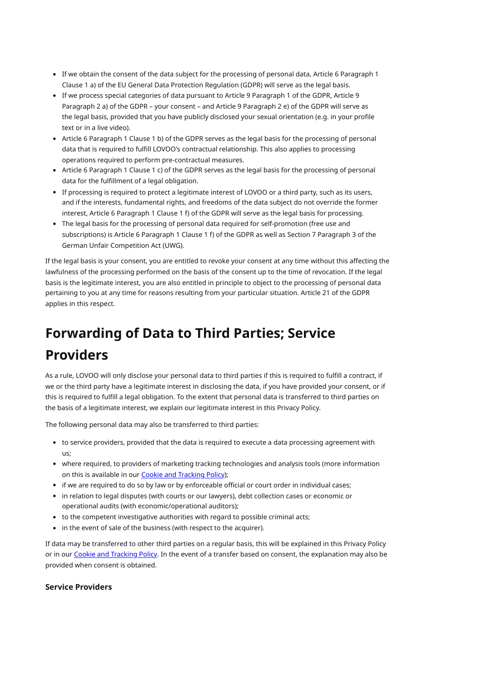- If we obtain the consent of the data subject for the processing of personal data, Article 6 Paragraph 1 Clause 1 a) of the EU General Data Protection Regulation (GDPR) will serve as the legal basis.
- If we process special categories of data pursuant to Article 9 Paragraph 1 of the GDPR, Article 9 Paragraph 2 a) of the GDPR – your consent – and Article 9 Paragraph 2 e) of the GDPR will serve as the legal basis, provided that you have publicly disclosed your sexual orientation (e.g. in your profile text or in a live video).
- Article 6 Paragraph 1 Clause 1 b) of the GDPR serves as the legal basis for the processing of personal data that is required to fulfill LOVOO's contractual relationship. This also applies to processing operations required to perform pre-contractual measures.
- Article 6 Paragraph 1 Clause 1 c) of the GDPR serves as the legal basis for the processing of personal data for the fulfillment of a legal obligation.
- If processing is required to protect a legitimate interest of LOVOO or a third party, such as its users, and if the interests, fundamental rights, and freedoms of the data subject do not override the former interest, Article 6 Paragraph 1 Clause 1 f) of the GDPR will serve as the legal basis for processing.
- The legal basis for the processing of personal data required for self-promotion (free use and subscriptions) is Article 6 Paragraph 1 Clause 1 f) of the GDPR as well as Section 7 Paragraph 3 of the German Unfair Competition Act (UWG).

If the legal basis is your consent, you are entitled to revoke your consent at any time without this affecting the lawfulness of the processing performed on the basis of the consent up to the time of revocation. If the legal basis is the legitimate interest, you are also entitled in principle to object to the processing of personal data pertaining to you at any time for reasons resulting from your particular situation. Article 21 of the GDPR applies in this respect.

# <span id="page-8-0"></span>**Forwarding of Data to Third Parties; Service Providers**

As a rule, LOVOO will only disclose your personal data to third parties if this is required to fulfill a contract, if we or the third party have a legitimate interest in disclosing the data, if you have provided your consent, or if this is required to fulfill a legal obligation. To the extent that personal data is transferred to third parties on the basis of a legitimate interest, we explain our legitimate interest in this Privacy Policy.

The following personal data may also be transferred to third parties:

- to service providers, provided that the data is required to execute a data processing agreement with us;
- where required, to providers of marketing tracking technologies and analysis tools (more information on this is available in our Cookie and [Tracking](https://www.lovoo.com/legal/cookies) Policy);
- if we are required to do so by law or by enforceable official or court order in individual cases;
- in relation to legal disputes (with courts or our lawyers), debt collection cases or economic or operational audits (with economic/operational auditors);
- to the competent investigative authorities with regard to possible criminal acts;
- in the event of sale of the business (with respect to the acquirer).

If data may be transferred to other third parties on a regular basis, this will be explained in this Privacy Policy or in our Cookie and [Tracking](https://www.lovoo.com/legal/cookies) Policy. In the event of a transfer based on consent, the explanation may also be provided when consent is obtained.

#### **Service Providers**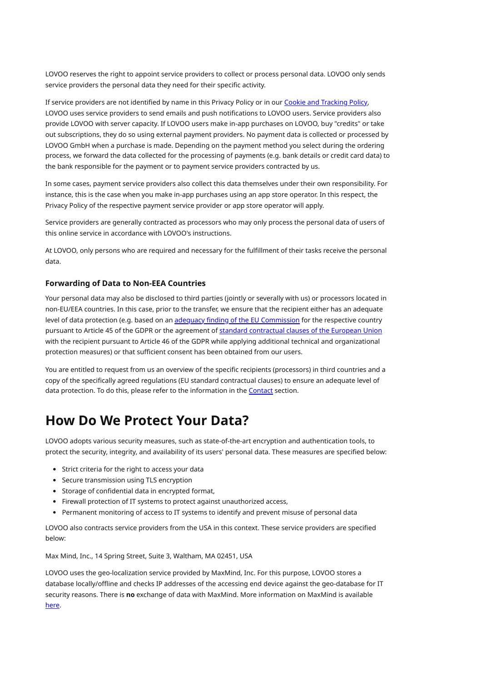LOVOO reserves the right to appoint service providers to collect or process personal data. LOVOO only sends service providers the personal data they need for their specific activity.

If service providers are not identified by name in this Privacy Policy or in our Cookie and [Tracking](https://www.lovoo.com/legal/cookies) Policy, LOVOO uses service providers to send emails and push notifications to LOVOO users. Service providers also provide LOVOO with server capacity. If LOVOO users make in-app purchases on LOVOO, buy "credits" or take out subscriptions, they do so using external payment providers. No payment data is collected or processed by LOVOO GmbH when a purchase is made. Depending on the payment method you select during the ordering process, we forward the data collected for the processing of payments (e.g. bank details or credit card data) to the bank responsible for the payment or to payment service providers contracted by us.

In some cases, payment service providers also collect this data themselves under their own responsibility. For instance, this is the case when you make in-app purchases using an app store operator. In this respect, the Privacy Policy of the respective payment service provider or app store operator will apply.

Service providers are generally contracted as processors who may only process the personal data of users of this online service in accordance with LOVOO's instructions.

At LOVOO, only persons who are required and necessary for the fulfillment of their tasks receive the personal data.

### **Forwarding of Data to Non-EEA Countries**

Your personal data may also be disclosed to third parties (jointly or severally with us) or processors located in non-EU/EEA countries. In this case, prior to the transfer, we ensure that the recipient either has an adequate level of data protection (e.g. based on an adequacy finding of the EU [Commission](https://ec.europa.eu/info/law/law-topic/data-protection/international-dimension-data-protection/adequacy-decisions_en) for the respective country pursuant to Article 45 of the GDPR or the agreement of standard [contractual](https://ec.europa.eu/info/law/law-topic/data-protection/international-dimension-data-protection/standard-contractual-clauses-scc_en) clauses of the European Union with the recipient pursuant to Article 46 of the GDPR while applying additional technical and organizational protection measures) or that sufficient consent has been obtained from our users.

You are entitled to request from us an overview of the specific recipients (processors) in third countries and a copy of the specifically agreed regulations (EU standard contractual clauses) to ensure an adequate level of data protection. To do this, please refer to the information in the [Contact](#page-0-0) section.

# <span id="page-9-0"></span>**How Do We Protect Your Data?**

LOVOO adopts various security measures, such as state-of-the-art encryption and authentication tools, to protect the security, integrity, and availability of its users' personal data. These measures are specified below:

- Strict criteria for the right to access your data
- Secure transmission using TLS encryption
- Storage of confidential data in encrypted format,
- Firewall protection of IT systems to protect against unauthorized access,
- Permanent monitoring of access to IT systems to identify and prevent misuse of personal data

LOVOO also contracts service providers from the USA in this context. These service providers are specified below:

Max Mind, Inc., 14 Spring Street, Suite 3, Waltham, MA 02451, USA

LOVOO uses the geo-localization service provided by MaxMind, Inc. For this purpose, LOVOO stores a database locally/offline and checks IP addresses of the accessing end device against the geo-database for IT security reasons. There is **no** exchange of data with MaxMind. More information on MaxMind is available [here.](https://www.maxmind.com/en/privacy-policy)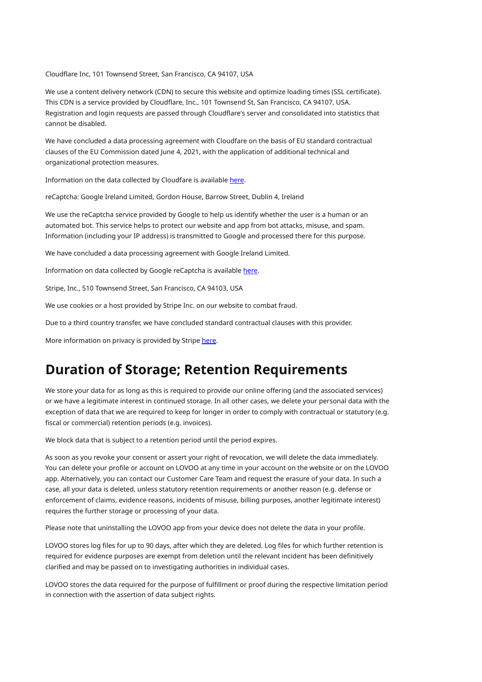Cloudflare Inc, 101 Townsend Street, San Francisco, CA 94107, USA

We use a content delivery network (CDN) to secure this website and optimize loading times (SSL certificate). This CDN is a service provided by Cloudflare, Inc., 101 Townsend St, San Francisco, CA 94107, USA. Registration and login requests are passed through Cloudflare's server and consolidated into statistics that cannot be disabled.

We have concluded a data processing agreement with Cloudfare on the basis of EU standard contractual clauses of the EU Commission dated June 4, 2021, with the application of additional technical and organizational protection measures.

Information on the data collected by Cloudfare is available [here](https://www.cloudflare.com/privacypolicy/).

reCaptcha: Google Ireland Limited, Gordon House, Barrow Street, Dublin 4, Ireland

We use the reCaptcha service provided by Google to help us identify whether the user is a human or an automated bot. This service helps to protect our website and app from bot attacks, misuse, and spam. Information (including your IP address) is transmitted to Google and processed there for this purpose.

We have concluded a data processing agreement with Google Ireland Limited.

Information on data collected by Google reCaptcha is available [here](https://www.google.com/recaptcha/about/).

Stripe, Inc., 510 Townsend Street, San Francisco, CA 94103, USA

We use cookies or a host provided by Stripe Inc. on our website to combat fraud.

Due to a third country transfer, we have concluded standard contractual clauses with this provider.

More information on privacy is provided by Stripe [here](https://stripe.com/at/privacy).

# <span id="page-10-0"></span>**Duration of Storage; Retention Requirements**

We store your data for as long as this is required to provide our online offering (and the associated services) or we have a legitimate interest in continued storage. In all other cases, we delete your personal data with the exception of data that we are required to keep for longer in order to comply with contractual or statutory (e.g. fiscal or commercial) retention periods (e.g. invoices).

We block data that is subject to a retention period until the period expires.

As soon as you revoke your consent or assert your right of revocation, we will delete the data immediately. You can delete your profile or account on LOVOO at any time in your account on the website or on the LOVOO app. Alternatively, you can contact our Customer Care Team and request the erasure of your data. In such a case, all your data is deleted, unless statutory retention requirements or another reason (e.g. defense or enforcement of claims, evidence reasons, incidents of misuse, billing purposes, another legitimate interest) requires the further storage or processing of your data.

Please note that uninstalling the LOVOO app from your device does not delete the data in your profile.

LOVOO stores log files for up to 90 days, after which they are deleted. Log files for which further retention is required for evidence purposes are exempt from deletion until the relevant incident has been definitively clarified and may be passed on to investigating authorities in individual cases.

LOVOO stores the data required for the purpose of fulfillment or proof during the respective limitation period in connection with the assertion of data subject rights.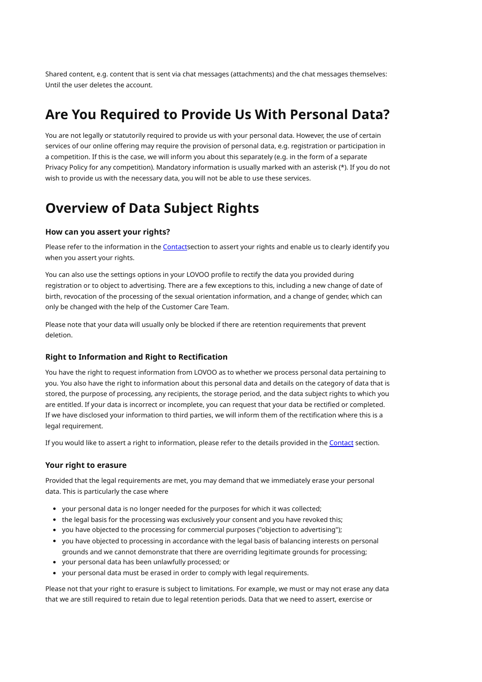Shared content, e.g. content that is sent via chat messages (attachments) and the chat messages themselves: Until the user deletes the account.

# <span id="page-11-0"></span>**Are You Required to Provide Us With Personal Data?**

You are not legally or statutorily required to provide us with your personal data. However, the use of certain services of our online offering may require the provision of personal data, e.g. registration or participation in a competition. If this is the case, we will inform you about this separately (e.g. in the form of a separate Privacy Policy for any competition). Mandatory information is usually marked with an asterisk (\*). If you do not wish to provide us with the necessary data, you will not be able to use these services.

# <span id="page-11-1"></span>**Overview of Data Subject Rights**

### **How can you assert your rights?**

Please refer to the information in the [Contact](#page-0-0)section to assert your rights and enable us to clearly identify you when you assert your rights.

You can also use the settings options in your LOVOO profile to rectify the data you provided during registration or to object to advertising. There are a few exceptions to this, including a new change of date of birth, revocation of the processing of the sexual orientation information, and a change of gender, which can only be changed with the help of the Customer Care Team.

Please note that your data will usually only be blocked if there are retention requirements that prevent deletion.

#### **Right to Information and Right to Rectification**

You have the right to request information from LOVOO as to whether we process personal data pertaining to you. You also have the right to information about this personal data and details on the category of data that is stored, the purpose of processing, any recipients, the storage period, and the data subject rights to which you are entitled. If your data is incorrect or incomplete, you can request that your data be rectified or completed. If we have disclosed your information to third parties, we will inform them of the rectification where this is a legal requirement.

If you would like to assert a right to information, please refer to the details provided in the [Contact](#page-0-0) section.

#### **Your right to erasure**

Provided that the legal requirements are met, you may demand that we immediately erase your personal data. This is particularly the case where

- your personal data is no longer needed for the purposes for which it was collected;
- the legal basis for the processing was exclusively your consent and you have revoked this;
- you have objected to the processing for commercial purposes ("objection to advertising");
- you have objected to processing in accordance with the legal basis of balancing interests on personal grounds and we cannot demonstrate that there are overriding legitimate grounds for processing;
- your personal data has been unlawfully processed; or
- your personal data must be erased in order to comply with legal requirements.

Please not that your right to erasure is subject to limitations. For example, we must or may not erase any data that we are still required to retain due to legal retention periods. Data that we need to assert, exercise or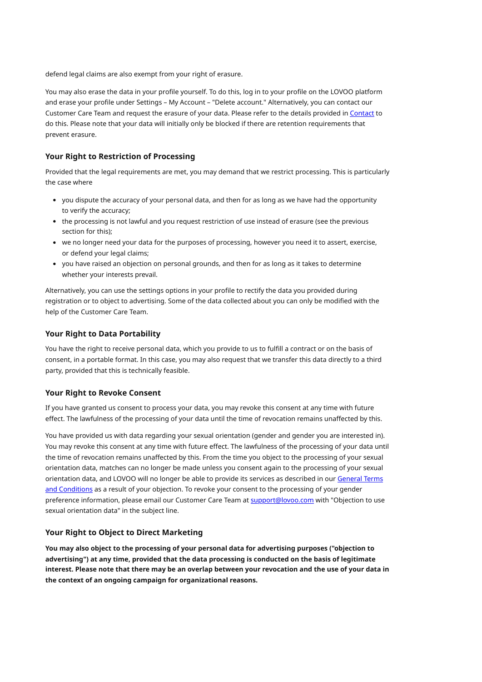defend legal claims are also exempt from your right of erasure.

You may also erase the data in your profile yourself. To do this, log in to your profile on the LOVOO platform and erase your profile under Settings – My Account – "Delete account." Alternatively, you can contact our Customer Care Team and request the erasure of your data. Please refer to the details provided in [Contact](#page-0-0) to do this. Please note that your data will initially only be blocked if there are retention requirements that prevent erasure.

#### **Your Right to Restriction of Processing**

Provided that the legal requirements are met, you may demand that we restrict processing. This is particularly the case where

- you dispute the accuracy of your personal data, and then for as long as we have had the opportunity to verify the accuracy;
- the processing is not lawful and you request restriction of use instead of erasure (see the previous section for this);
- we no longer need your data for the purposes of processing, however you need it to assert, exercise, or defend your legal claims;
- you have raised an objection on personal grounds, and then for as long as it takes to determine whether your interests prevail.

Alternatively, you can use the settings options in your profile to rectify the data you provided during registration or to object to advertising. Some of the data collected about you can only be modified with the help of the Customer Care Team.

### **Your Right to Data Portability**

You have the right to receive personal data, which you provide to us to fulfill a contract or on the basis of consent, in a portable format. In this case, you may also request that we transfer this data directly to a third party, provided that this is technically feasible.

## **Your Right to Revoke Consent**

If you have granted us consent to process your data, you may revoke this consent at any time with future effect. The lawfulness of the processing of your data until the time of revocation remains unaffected by this.

You have provided us with data regarding your sexual orientation (gender and gender you are interested in). You may revoke this consent at any time with future effect. The lawfulness of the processing of your data until the time of revocation remains unaffected by this. From the time you object to the processing of your sexual orientation data, matches can no longer be made unless you consent again to the processing of your sexual [orientation](https://www.lovoo.com/legal/toc) data, and LOVOO will no longer be able to provide its services as described in our General Terms and Conditions as a result of your objection. To revoke your consent to the processing of your gender preference information, please email our Customer Care Team at [support@lovoo.com](mailto:support@lovoo.com) with "Objection to use sexual orientation data" in the subject line.

#### **Your Right to Object to Direct Marketing**

**You may also object to the processing of your personal data for advertising purposes ("objection to advertising") at any time, provided that the data processing is conducted on the basis of legitimate** interest. Please note that there may be an overlap between your revocation and the use of your data in **the context of an ongoing campaign for organizational reasons.**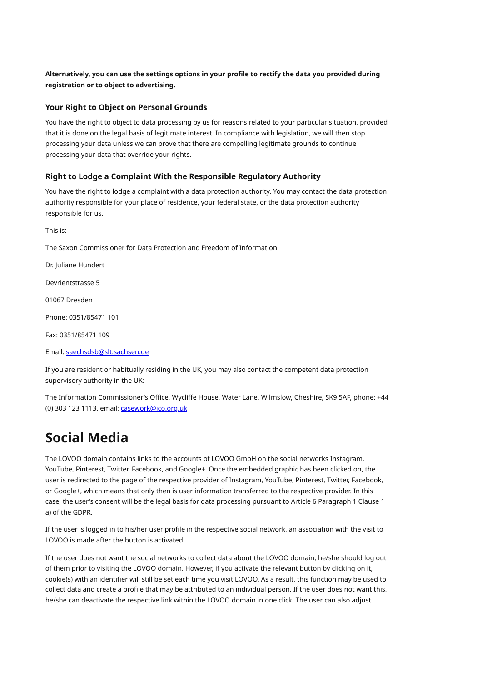**Alternatively, you can use the settings options in your profile to rectify the data you provided during registration or to object to advertising.**

### **Your Right to Object on Personal Grounds**

You have the right to object to data processing by us for reasons related to your particular situation, provided that it is done on the legal basis of legitimate interest. In compliance with legislation, we will then stop processing your data unless we can prove that there are compelling legitimate grounds to continue processing your data that override your rights.

### **Right to Lodge a Complaint With the Responsible Regulatory Authority**

You have the right to lodge a complaint with a data protection authority. You may contact the data protection authority responsible for your place of residence, your federal state, or the data protection authority responsible for us.

The Saxon Commissioner for Data Protection and Freedom of Information Dr. Juliane Hundert Devrientstrasse 5 01067 Dresden Phone: 0351/85471 101 Fax: 0351/85471 109 Email: [saechsdsb@slt.sachsen.de](mailto:saechsdsb@slt.sachsen.de) If you are resident or habitually residing in the UK, you may also contact the competent data protection supervisory authority in the UK:

The Information Commissioner's Office, Wycliffe House, Water Lane, Wilmslow, Cheshire, SK9 5AF, phone: +44 (0) 303 123 1113, email: [casework@ico.org.uk](mailto:casework@ico.org.uk)

# <span id="page-13-0"></span>**Social Media**

This is:

The LOVOO domain contains links to the accounts of LOVOO GmbH on the social networks Instagram, YouTube, Pinterest, Twitter, Facebook, and Google+. Once the embedded graphic has been clicked on, the user is redirected to the page of the respective provider of Instagram, YouTube, Pinterest, Twitter, Facebook, or Google+, which means that only then is user information transferred to the respective provider. In this case, the user's consent will be the legal basis for data processing pursuant to Article 6 Paragraph 1 Clause 1 a) of the GDPR.

If the user is logged in to his/her user profile in the respective social network, an association with the visit to LOVOO is made after the button is activated.

If the user does not want the social networks to collect data about the LOVOO domain, he/she should log out of them prior to visiting the LOVOO domain. However, if you activate the relevant button by clicking on it, cookie(s) with an identifier will still be set each time you visit LOVOO. As a result, this function may be used to collect data and create a profile that may be attributed to an individual person. If the user does not want this, he/she can deactivate the respective link within the LOVOO domain in one click. The user can also adjust